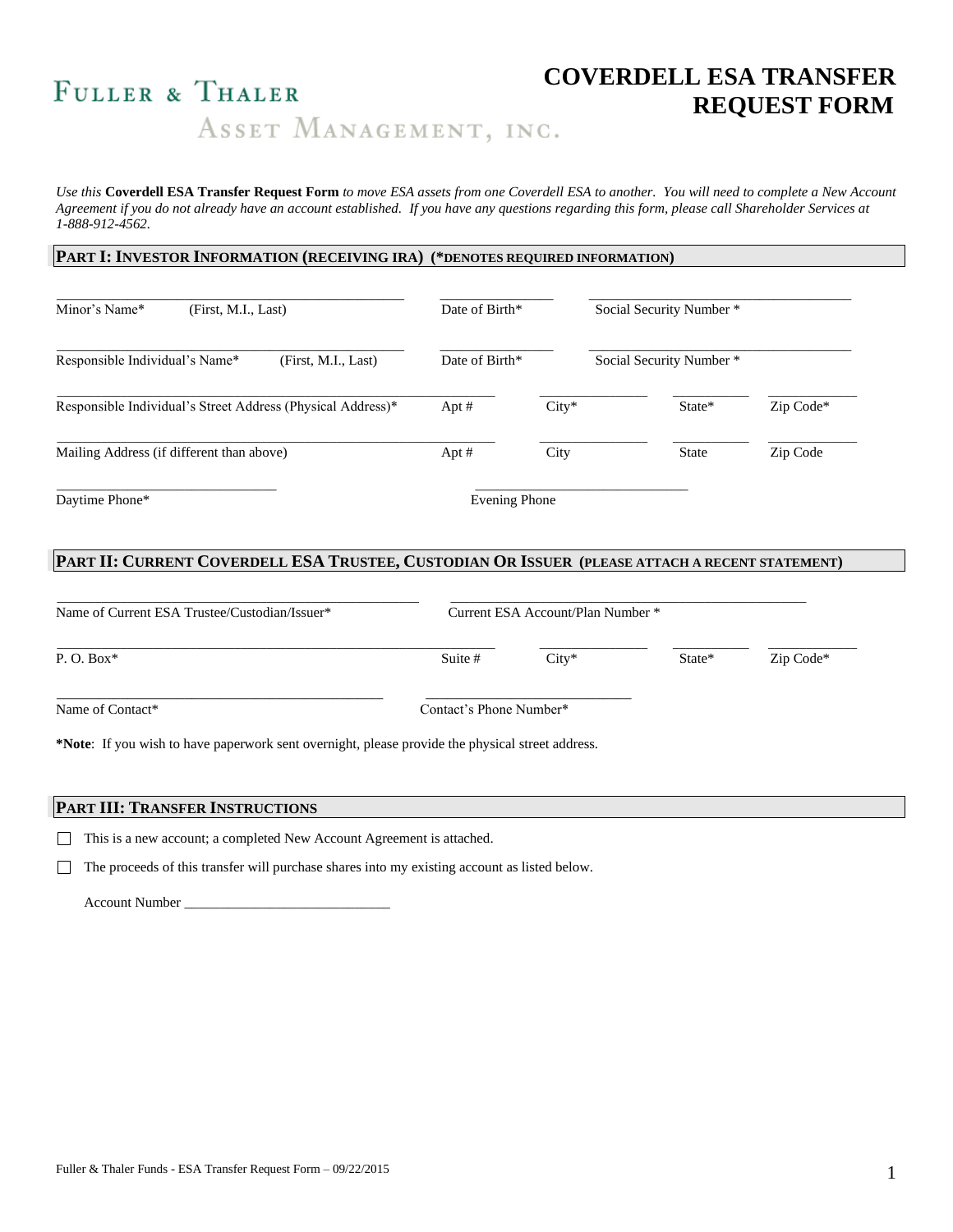# **COVERDELL ESA TRANSFER**  FULLER & THALER<br>ASSET MANAGEMENT, INC.<br>ASSET MANAGEMENT, INC.

*Use this* **Coverdell ESA Transfer Request Form** *to move ESA assets from one Coverdell ESA to another. You will need to complete a New Account Agreement if you do not already have an account established. If you have any questions regarding this form, please call Shareholder Services at 1-888-912-4562.*

#### **PART I: INVESTOR INFORMATION (RECEIVING IRA) (\*DENOTES REQUIRED INFORMATION)**

| Minor's Name*                                         | (First, M.I., Last)                                         | Date of Birth* |         | Social Security Number *<br>Social Security Number * |           |  |
|-------------------------------------------------------|-------------------------------------------------------------|----------------|---------|------------------------------------------------------|-----------|--|
| Responsible Individual's Name*<br>(First, M.I., Last) |                                                             | Date of Birth* |         |                                                      |           |  |
|                                                       | Responsible Individual's Street Address (Physical Address)* | Apt $#$        | $City*$ | State*                                               | Zip Code* |  |
| Mailing Address (if different than above)             |                                                             | Apt $#$        | City    | <b>State</b>                                         | Zip Code  |  |
| Daytime Phone*                                        |                                                             | Evening Phone  |         |                                                      |           |  |

## PART II: CURRENT COVERDELL ESA TRUSTEE, CUSTODIAN OR ISSUER (PLEASE ATTACH A RECENT STATEMENT)

|                         | Current ESA Account/Plan Number * |        |           |
|-------------------------|-----------------------------------|--------|-----------|
| Suite #                 | $City*$                           | State* | Zip Code* |
| Contact's Phone Number* |                                   |        |           |
|                         |                                   |        |           |

## **PART III: TRANSFER INSTRUCTIONS**

This is a new account; a completed New Account Agreement is attached.

 $\Box$  The proceeds of this transfer will purchase shares into my existing account as listed below.

Account Number \_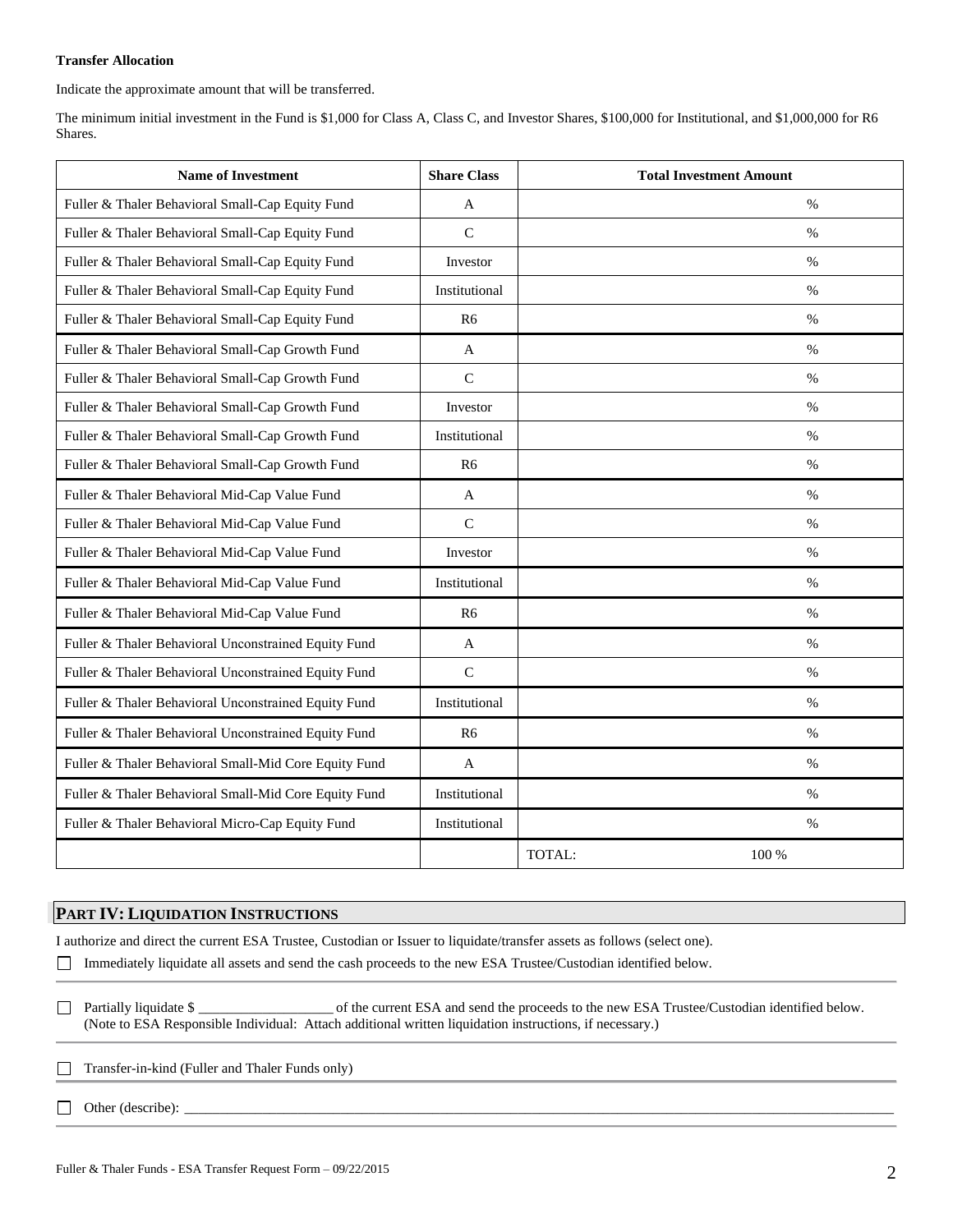#### **Transfer Allocation**

Indicate the approximate amount that will be transferred.

The minimum initial investment in the Fund is \$1,000 for Class A, Class C, and Investor Shares, \$100,000 for Institutional, and \$1,000,000 for R6 Shares.

| <b>Name of Investment</b>                             | <b>Share Class</b> | <b>Total Investment Amount</b> |
|-------------------------------------------------------|--------------------|--------------------------------|
| Fuller & Thaler Behavioral Small-Cap Equity Fund      | A                  | $\%$                           |
| Fuller & Thaler Behavioral Small-Cap Equity Fund      | $\mathbf C$        | $\frac{0}{0}$                  |
| Fuller & Thaler Behavioral Small-Cap Equity Fund      | Investor           | $\%$                           |
| Fuller & Thaler Behavioral Small-Cap Equity Fund      | Institutional      | $\%$                           |
| Fuller & Thaler Behavioral Small-Cap Equity Fund      | R <sub>6</sub>     | $\%$                           |
| Fuller & Thaler Behavioral Small-Cap Growth Fund      | A                  | $\%$                           |
| Fuller & Thaler Behavioral Small-Cap Growth Fund      | $\mathbf C$        | $\frac{0}{0}$                  |
| Fuller & Thaler Behavioral Small-Cap Growth Fund      | Investor           | $\frac{0}{0}$                  |
| Fuller & Thaler Behavioral Small-Cap Growth Fund      | Institutional      | $\%$                           |
| Fuller & Thaler Behavioral Small-Cap Growth Fund      | R6                 | $\%$                           |
| Fuller & Thaler Behavioral Mid-Cap Value Fund         | A                  | $\%$                           |
| Fuller & Thaler Behavioral Mid-Cap Value Fund         | $\mathcal{C}$      | $\%$                           |
| Fuller & Thaler Behavioral Mid-Cap Value Fund         | Investor           | $\%$                           |
| Fuller & Thaler Behavioral Mid-Cap Value Fund         | Institutional      | $\%$                           |
| Fuller & Thaler Behavioral Mid-Cap Value Fund         | R6                 | $\%$                           |
| Fuller & Thaler Behavioral Unconstrained Equity Fund  | A                  | $\frac{0}{0}$                  |
| Fuller & Thaler Behavioral Unconstrained Equity Fund  | $\mathcal{C}$      | $\%$                           |
| Fuller & Thaler Behavioral Unconstrained Equity Fund  | Institutional      | $\frac{0}{0}$                  |
| Fuller & Thaler Behavioral Unconstrained Equity Fund  | R <sub>6</sub>     | $\%$                           |
| Fuller & Thaler Behavioral Small-Mid Core Equity Fund | $\mathbf{A}$       | $\%$                           |
| Fuller & Thaler Behavioral Small-Mid Core Equity Fund | Institutional      | $\%$                           |
| Fuller & Thaler Behavioral Micro-Cap Equity Fund      | Institutional      | $\%$                           |
|                                                       |                    | TOTAL:<br>100 %                |

### **PART IV: LIQUIDATION INSTRUCTIONS**

I authorize and direct the current ESA Trustee, Custodian or Issuer to liquidate/transfer assets as follows (select one).

Immediately liquidate all assets and send the cash proceeds to the new ESA Trustee/Custodian identified below.

Partially liquidate \$ \_\_\_\_\_\_\_\_\_\_\_\_\_\_\_\_\_\_\_ of the current ESA and send the proceeds to the new ESA Trustee/Custodian identified below. (Note to ESA Responsible Individual: Attach additional written liquidation instructions, if necessary.)

- Transfer-in-kind (Fuller and Thaler Funds only)  $\Box$
- $\Box$  Other (describe):